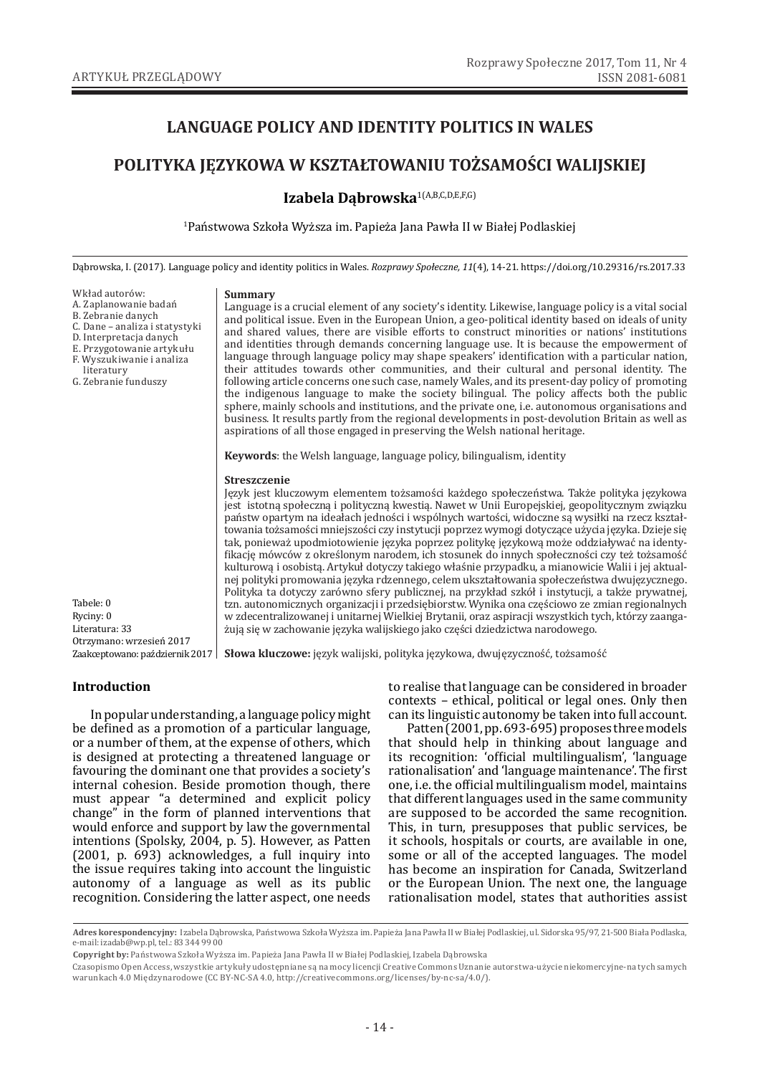# **LANGUAGE POLICY AND IDENTITY POLITICS IN WALES**

# **POLITYKA JĘZYKOWA W KSZTAŁTOWANIU TOŻSAMOŚCI WALIJSKIEJ**

# **Izabela Dąbrowska**1(A,B,C,D,E,F,G)

1 Państwowa Szkoła Wyższa im. Papieża Jana Pawła II w Białej Podlaskiej

Dąbrowska, I. (2017). Language policy and identity politics in Wales. *Rozprawy Społeczne, 11*(4), 14-21. https://doi.org/10.29316/rs.2017.33

Wkład autorów:

- A. Zaplanowanie badań
- B. Zebranie danych C. Dane – analiza i statystyki
- D. Interpretacja danych
- E. Przygotowanie artykułu
- F. Wyszukiwanie i analiza
- literatury
- G. Zebranie funduszy

#### **Summary**

Language is a crucial element of any society's identity. Likewise, language policy is a vital social and political issue. Even in the European Union, a geo-political identity based on ideals of unity and shared values, there are visible efforts to construct minorities or nations' institutions and identities through demands concerning language use. It is because the empowerment of language through language policy may shape speakers' identification with a particular nation, their attitudes towards other communities, and their cultural and personal identity. The following article concerns one such case, namely Wales, and its present-day policy of promoting the indigenous language to make the society bilingual. The policy affects both the public sphere, mainly schools and institutions, and the private one, i.e. autonomous organisations and business. It results partly from the regional developments in post-devolution Britain as well as aspirations of all those engaged in preserving the Welsh national heritage.

**Keywords**: the Welsh language, language policy, bilingualism, identity

#### **Streszczenie**

Język jest kluczowym elementem tożsamości każdego społeczeństwa. Także polityka językowa jest istotną społeczną i polityczną kwestią. Nawet w Unii Europejskiej, geopolitycznym związku państw opartym na ideałach jedności i wspólnych wartości, widoczne są wysiłki na rzecz kształtowania tożsamości mniejszości czy instytucji poprzez wymogi dotyczące użycia języka. Dzieje się tak, ponieważ upodmiotowienie języka poprzez politykę językową może oddziaływać na identyfikację mówców z określonym narodem, ich stosunek do innych społeczności czy też tożsamość kulturową i osobistą. Artykuł dotyczy takiego właśnie przypadku, a mianowicie Walii i jej aktualnej polityki promowania języka rdzennego, celem ukształtowania społeczeństwa dwujęzycznego. Polityka ta dotyczy zarówno sfery publicznej, na przykład szkół i instytucji, a także prywatnej, tzn. autonomicznych organizacji i przedsiębiorstw. Wynika ona częściowo ze zmian regionalnych w zdecentralizowanej i unitarnej Wielkiej Brytanii, oraz aspiracji wszystkich tych, którzy zaangażują się w zachowanie języka walijskiego jako części dziedzictwa narodowego.

Tabele: 0 Ryciny: 0 Literatura: 33 Otrzymano: wrzesień 2017

Zaakceptowano: październik 2017 | **Słowa kluczowe:** język walijski, polityka językowa, dwujęzyczność, tożsamość

#### **Introduction**

In popular understanding, a language policy might be defined as a promotion of a particular language, or a number of them, at the expense of others, which is designed at protecting a threatened language or favouring the dominant one that provides a society's internal cohesion. Beside promotion though, there must appear "a determined and explicit policy change" in the form of planned interventions that would enforce and support by law the governmental intentions (Spolsky, 2004, p. 5). However, as Patten (2001, p. 693) acknowledges, a full inquiry into the issue requires taking into account the linguistic autonomy of a language as well as its public recognition. Considering the latter aspect, one needs

to realise that language can be considered in broader contexts – ethical, political or legal ones. Only then can its linguistic autonomy be taken into full account.

Patten (2001, pp. 693-695) proposes three models that should help in thinking about language and its recognition: 'official multilingualism', 'language rationalisation' and 'language maintenance'. The first one, i.e. the official multilingualism model, maintains that different languages used in the same community are supposed to be accorded the same recognition. This, in turn, presupposes that public services, be it schools, hospitals or courts, are available in one, some or all of the accepted languages. The model has become an inspiration for Canada, Switzerland or the European Union. The next one, the language rationalisation model, states that authorities assist

**Adres korespondencyjny:** Izabela Dąbrowska, Państwowa Szkoła Wyższa im. Papieża Jana Pawła II w Białej Podlaskiej, ul. Sidorska 95/97, 21-500 Biała Podlaska, e-mail: izadab@wp.pl, tel.: 83 344 99 00

**Copyright by:** Państwowa Szkoła Wyższa im. Papieża Jana Pawła II w Białej Podlaskiej, Izabela Dąbrowska

Czasopismo Open Access, wszystkie artykuły udostępniane są na mocy licencji Creative Commons Uznanie autorstwa-użycie niekomercyjne-na tych samych warunkach 4.0 Międzynarodowe (CC BY-NC-SA 4.0, http://creativecommons.org/licenses/by-nc-sa/4.0/).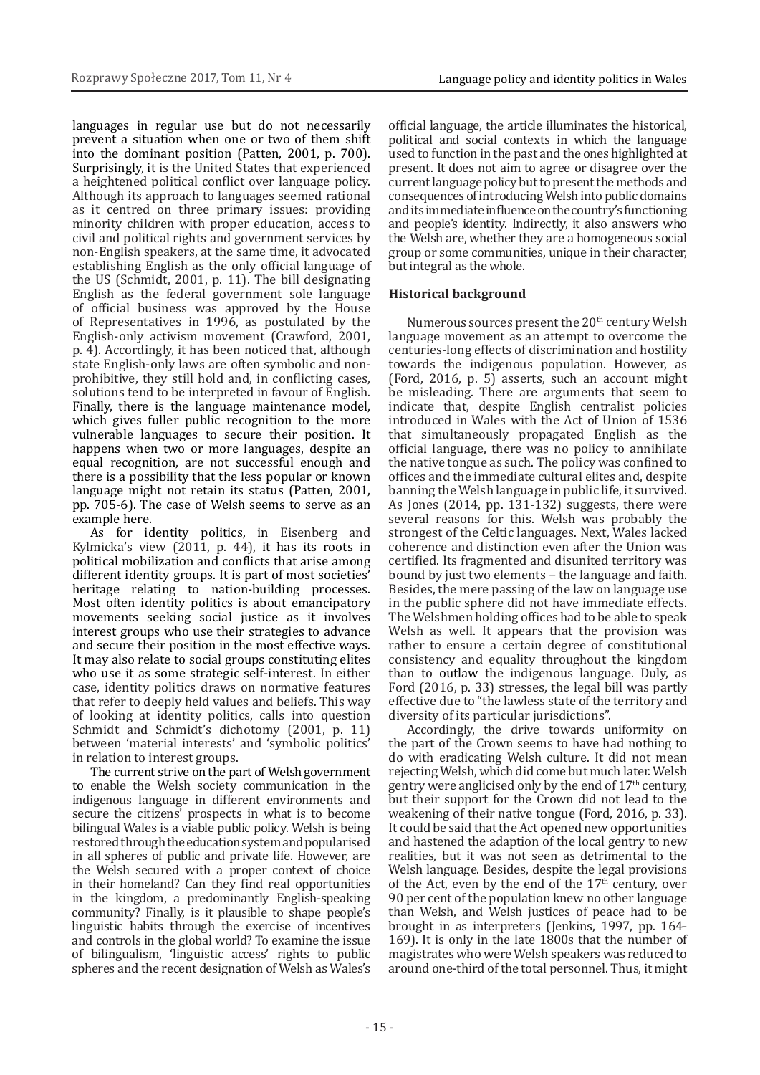languages in regular use but do not necessarily prevent a situation when one or two of them shift into the dominant position (Patten, 2001, p. 700). Surprisingly, it is the United States that experienced a heightened political conflict over language policy. Although its approach to languages seemed rational as it centred on three primary issues: providing minority children with proper education, access to civil and political rights and government services by non-English speakers, at the same time, it advocated establishing English as the only official language of the US (Schmidt, 2001, p. 11). The bill designating English as the federal government sole language of official business was approved by the House of Representatives in 1996, as postulated by the English-only activism movement (Crawford, 2001, p. 4). Accordingly, it has been noticed that, although state English-only laws are often symbolic and nonprohibitive, they still hold and, in conflicting cases, solutions tend to be interpreted in favour of English. Finally, there is the language maintenance model, which gives fuller public recognition to the more vulnerable languages to secure their position. It happens when two or more languages, despite an equal recognition, are not successful enough and there is a possibility that the less popular or known language might not retain its status (Patten, 2001, pp. 705-6). The case of Welsh seems to serve as an example here.

As for identity politics, in Eisenberg and Kylmicka's view (2011, p. 44), it has its roots in political mobilization and conflicts that arise among different identity groups. It is part of most societies' heritage relating to nation-building processes. Most often identity politics is about emancipatory movements seeking social justice as it involves interest groups who use their strategies to advance and secure their position in the most effective ways. It may also relate to social groups constituting elites who use it as some strategic self-interest. In either case, identity politics draws on normative features that refer to deeply held values and beliefs. This way of looking at identity politics, calls into question Schmidt and Schmidt's dichotomy (2001, p. 11) between 'material interests' and 'symbolic politics' in relation to interest groups.

The current strive on the part of Welsh government to enable the Welsh society communication in the indigenous language in different environments and secure the citizens' prospects in what is to become bilingual Wales is a viable public policy. Welsh is being restored through the education system and popularised in all spheres of public and private life. However, are the Welsh secured with a proper context of choice in their homeland? Can they find real opportunities in the kingdom, a predominantly English-speaking community? Finally, is it plausible to shape people's linguistic habits through the exercise of incentives and controls in the global world? To examine the issue of bilingualism, 'linguistic access' rights to public spheres and the recent designation of Welsh as Wales's

official language, the article illuminates the historical, political and social contexts in which the language used to function in the past and the ones highlighted at present. It does not aim to agree or disagree over the current language policy but to present the methods and consequences of introducing Welsh into public domains and its immediate influence on the country's functioning and people's identity. Indirectly, it also answers who the Welsh are, whether they are a homogeneous social group or some communities, unique in their character, but integral as the whole.

## **Historical background**

Numerous sources present the  $20<sup>th</sup>$  century Welsh language movement as an attempt to overcome the centuries-long effects of discrimination and hostility towards the indigenous population. However, as (Ford, 2016, p. 5) asserts, such an account might be misleading. There are arguments that seem to indicate that, despite English centralist policies introduced in Wales with the Act of Union of 1536 that simultaneously propagated English as the official language, there was no policy to annihilate the native tongue as such. The policy was confined to offices and the immediate cultural elites and, despite banning the Welsh language in public life, it survived. As Jones (2014, pp. 131-132) suggests, there were several reasons for this. Welsh was probably the strongest of the Celtic languages. Next, Wales lacked coherence and distinction even after the Union was certified. Its fragmented and disunited territory was bound by just two elements − the language and faith. Besides, the mere passing of the law on language use in the public sphere did not have immediate effects. The Welshmen holding offices had to be able to speak Welsh as well. It appears that the provision was rather to ensure a certain degree of constitutional consistency and equality throughout the kingdom than to outlaw the indigenous language. Duly, as Ford (2016, p. 33) stresses, the legal bill was partly effective due to "the lawless state of the territory and diversity of its particular jurisdictions".

Accordingly, the drive towards uniformity on the part of the Crown seems to have had nothing to do with eradicating Welsh culture. It did not mean rejecting Welsh, which did come but much later. Welsh gentry were anglicised only by the end of  $17<sup>th</sup>$  century, but their support for the Crown did not lead to the weakening of their native tongue (Ford, 2016, p. 33). It could be said that the Act opened new opportunities and hastened the adaption of the local gentry to new realities, but it was not seen as detrimental to the Welsh language. Besides, despite the legal provisions of the Act, even by the end of the  $17<sup>th</sup>$  century, over 90 per cent of the population knew no other language than Welsh, and Welsh justices of peace had to be brought in as interpreters (Jenkins, 1997, pp. 164- 169). It is only in the late 1800s that the number of magistrates who were Welsh speakers was reduced to around one-third of the total personnel. Thus, it might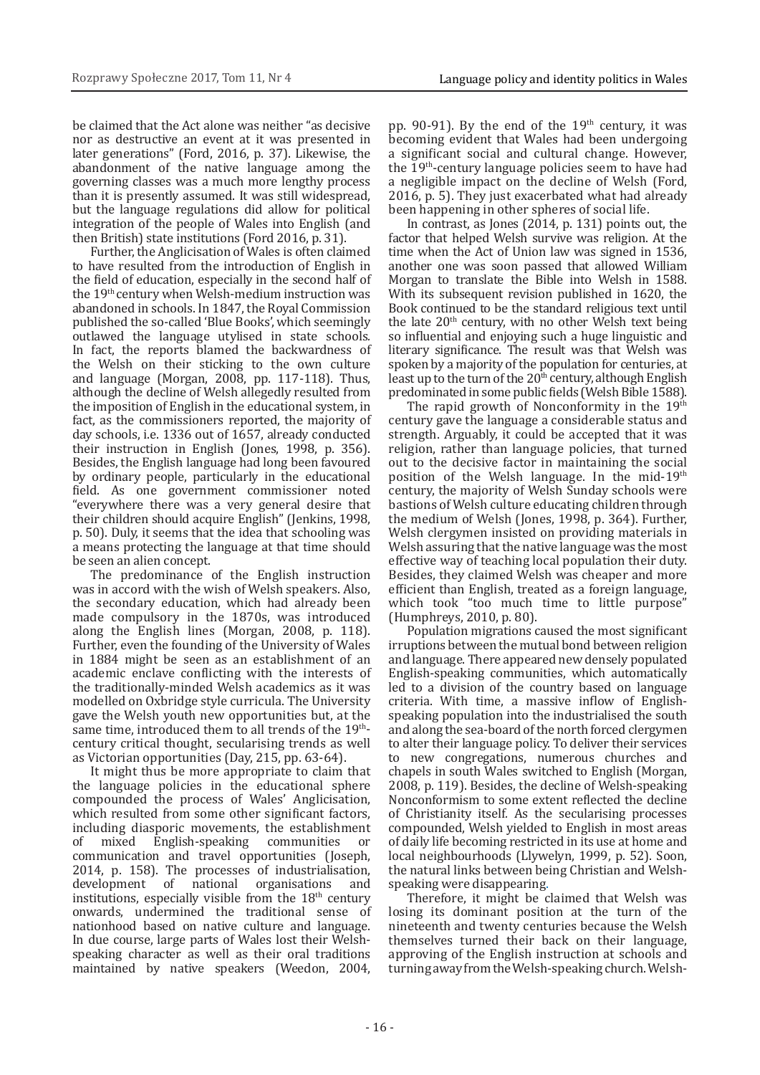be claimed that the Act alone was neither "as decisive nor as destructive an event at it was presented in later generations" (Ford, 2016, p. 37). Likewise, the abandonment of the native language among the governing classes was a much more lengthy process than it is presently assumed. It was still widespread, but the language regulations did allow for political integration of the people of Wales into English (and then British) state institutions (Ford 2016, p. 31).

Further, the Anglicisation of Wales is often claimed to have resulted from the introduction of English in the field of education, especially in the second half of the 19th century when Welsh-medium instruction was abandoned in schools. In 1847, the Royal Commission published the so-called 'Blue Books', which seemingly outlawed the language utylised in state schools*.*  In fact, the reports blamed the backwardness of the Welsh on their sticking to the own culture and language (Morgan, 2008, pp. 117-118). Thus, although the decline of Welsh allegedly resulted from the imposition of English in the educational system, in fact, as the commissioners reported, the majority of day schools, i.e. 1336 out of 1657, already conducted their instruction in English (Jones, 1998, p. 356). Besides, the English language had long been favoured by ordinary people, particularly in the educational field. As one government commissioner noted "everywhere there was a very general desire that their children should acquire English" (Jenkins, 1998, p. 50). Duly, it seems that the idea that schooling was a means protecting the language at that time should be seen an alien concept.

The predominance of the English instruction was in accord with the wish of Welsh speakers. Also, the secondary education, which had already been made compulsory in the 1870s, was introduced along the English lines (Morgan, 2008, p. 118). Further, even the founding of the University of Wales in 1884 might be seen as an establishment of an academic enclave conflicting with the interests of the traditionally-minded Welsh academics as it was modelled on Oxbridge style curricula. The University gave the Welsh youth new opportunities but, at the same time, introduced them to all trends of the  $19<sup>th</sup>$ century critical thought, secularising trends as well as Victorian opportunities (Day, 215, pp. 63-64).

It might thus be more appropriate to claim that the language policies in the educational sphere compounded the process of Wales' Anglicisation, which resulted from some other significant factors, including diasporic movements, the establishment<br>of mixed English-speaking communities or English-speaking communities communication and travel opportunities (Joseph, 2014, p. 158). The processes of industrialisation, development of institutions, especially visible from the  $18<sup>th</sup>$  century onwards, undermined the traditional sense of nationhood based on native culture and language. In due course, large parts of Wales lost their Welshspeaking character as well as their oral traditions maintained by native speakers (Weedon, 2004,

pp. 90-91). By the end of the  $19<sup>th</sup>$  century, it was becoming evident that Wales had been undergoing a significant social and cultural change. However, the 19th-century language policies seem to have had a negligible impact on the decline of Welsh (Ford, 2016, p. 5). They just exacerbated what had already been happening in other spheres of social life.

In contrast, as Jones (2014, p. 131) points out, the factor that helped Welsh survive was religion. At the time when the Act of Union law was signed in 1536, another one was soon passed that allowed William Morgan to translate the Bible into Welsh in 1588. With its subsequent revision published in 1620, the Book continued to be the standard religious text until the late  $20<sup>th</sup>$  century, with no other Welsh text being so influential and enjoying such a huge linguistic and literary significance. The result was that Welsh was spoken by a majority of the population for centuries, at least up to the turn of the  $20<sup>th</sup>$  century, although English predominated in some public fields (Welsh Bible 1588).

The rapid growth of Nonconformity in the 19th century gave the language a considerable status and strength. Arguably, it could be accepted that it was religion, rather than language policies, that turned out to the decisive factor in maintaining the social position of the Welsh language. In the mid-19th century, the majority of Welsh Sunday schools were bastions of Welsh culture educating children through the medium of Welsh (Jones, 1998, p. 364). Further, Welsh clergymen insisted on providing materials in Welsh assuring that the native language was the most effective way of teaching local population their duty. Besides, they claimed Welsh was cheaper and more efficient than English, treated as a foreign language, which took "too much time to little purpose" (Humphreys, 2010, p. 80).

Population migrations caused the most significant irruptions between the mutual bond between religion and language. There appeared new densely populated English-speaking communities, which automatically led to a division of the country based on language criteria. With time, a massive inflow of Englishspeaking population into the industrialised the south and along the sea-board of the north forced clergymen to alter their language policy. To deliver their services to new congregations, numerous churches and chapels in south Wales switched to English (Morgan, 2008, p. 119). Besides, the decline of Welsh-speaking Nonconformism to some extent reflected the decline of Christianity itself*.* As the secularising processes compounded, Welsh yielded to English in most areas of daily life becoming restricted in its use at home and local neighbourhoods (Llywelyn, 1999, p. 52). Soon, the natural links between being Christian and Welshspeaking were disappearing.

Therefore, it might be claimed that Welsh was losing its dominant position at the turn of the nineteenth and twenty centuries because the Welsh themselves turned their back on their language, approving of the English instruction at schools and turning away from the Welsh-speaking church. Welsh-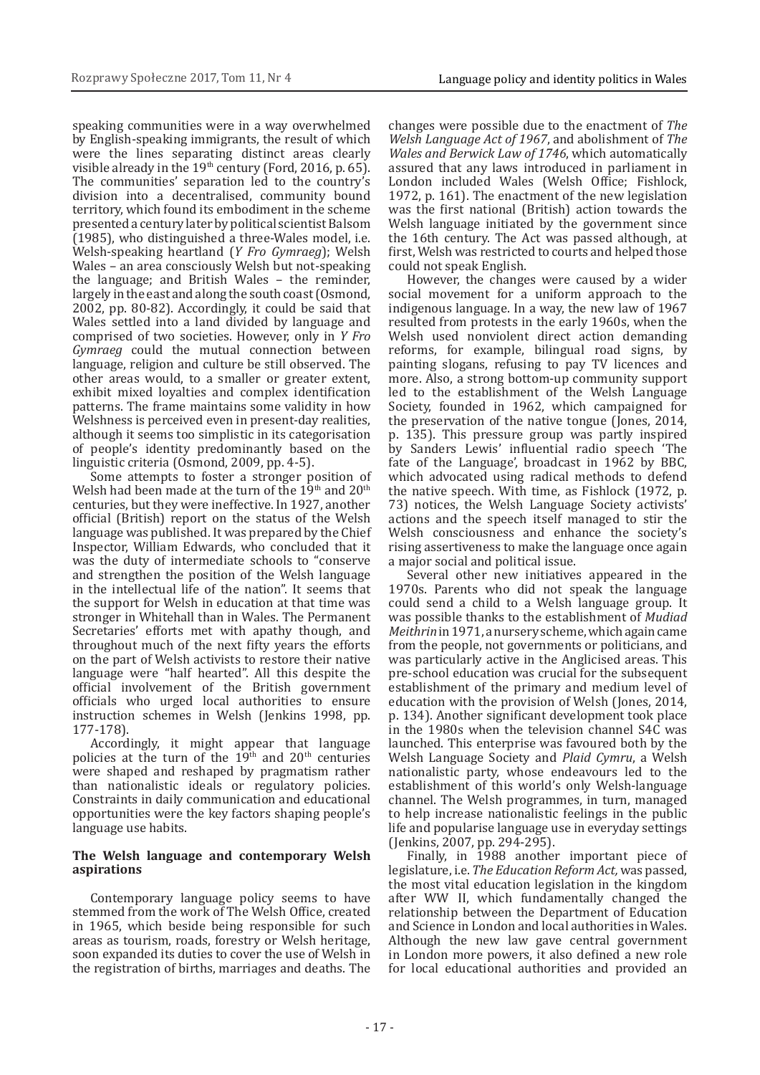speaking communities were in a way overwhelmed by English-speaking immigrants, the result of which were the lines separating distinct areas clearly visible already in the  $19<sup>th</sup>$  century (Ford, 2016, p. 65). The communities' separation led to the country's division into a decentralised, community bound territory, which found its embodiment in the scheme presented a century later by political scientist Balsom (1985), who distinguished a three-Wales model, i.e. Welsh-speaking heartland (*Y Fro Gymraeg*); Welsh Wales – an area consciously Welsh but not-speaking the language; and British Wales – the reminder, largely in the east and along the south coast (Osmond, 2002, pp. 80-82). Accordingly, it could be said that Wales settled into a land divided by language and comprised of two societies. However, only in *Y Fro Gymraeg* could the mutual connection between language, religion and culture be still observed. The other areas would, to a smaller or greater extent, exhibit mixed loyalties and complex identification patterns. The frame maintains some validity in how Welshness is perceived even in present-day realities, although it seems too simplistic in its categorisation of people's identity predominantly based on the linguistic criteria (Osmond, 2009, pp. 4-5).

Some attempts to foster a stronger position of Welsh had been made at the turn of the  $19<sup>th</sup>$  and  $20<sup>th</sup>$ centuries, but they were ineffective. In 1927, another official (British) report on the status of the Welsh language was published. It was prepared by the Chief Inspector, William Edwards, who concluded that it was the duty of intermediate schools to "conserve and strengthen the position of the Welsh language in the intellectual life of the nation". It seems that the support for Welsh in education at that time was stronger in Whitehall than in Wales. The Permanent Secretaries' efforts met with apathy though, and throughout much of the next fifty years the efforts on the part of Welsh activists to restore their native language were "half hearted". All this despite the official involvement of the British government officials who urged local authorities to ensure instruction schemes in Welsh (Jenkins 1998, pp. 177-178).

Accordingly, it might appear that language policies at the turn of the  $19<sup>th</sup>$  and  $20<sup>th</sup>$  centuries were shaped and reshaped by pragmatism rather than nationalistic ideals or regulatory policies. Constraints in daily communication and educational opportunities were the key factors shaping people's language use habits.

#### **The Welsh language and contemporary Welsh aspirations**

Contemporary language policy seems to have stemmed from the work of The Welsh Office, created in 1965, which beside being responsible for such areas as tourism, roads, forestry or Welsh heritage, soon expanded its duties to cover the use of Welsh in the registration of births, marriages and deaths. The

changes were possible due to the enactment of *The Welsh Language Act of 1967*, and abolishment of *The Wales and Berwick Law of 1746*, which automatically assured that any laws introduced in parliament in London included Wales (Welsh Office; Fishlock, 1972, p. 161). The enactment of the new legislation was the first national (British) action towards the Welsh language initiated by the government since the 16th century. The Act was passed although, at first, Welsh was restricted to courts and helped those could not speak English.

However, the changes were caused by a wider social movement for a uniform approach to the indigenous language. In a way, the new law of 1967 resulted from protests in the early 1960s, when the Welsh used nonviolent direct action demanding reforms, for example, bilingual road signs, by painting slogans, refusing to pay TV licences and more. Also, a strong bottom-up community support led to the establishment of the Welsh Language Society, founded in 1962, which campaigned for the preservation of the native tongue (Jones, 2014, p. 135). This pressure group was partly inspired by Sanders Lewis' influential radio speech 'The fate of the Language', broadcast in 1962 by BBC, which advocated using radical methods to defend the native speech. With time, as Fishlock (1972, p. 73) notices, the Welsh Language Society activists' actions and the speech itself managed to stir the Welsh consciousness and enhance the society's rising assertiveness to make the language once again a major social and political issue.

Several other new initiatives appeared in the 1970s. Parents who did not speak the language could send a child to a Welsh language group. It was possible thanks to the establishment of *Mudiad Meithrin* in 1971, anursery scheme, which again came from the people, not governments or politicians, and was particularly active in the Anglicised areas. This pre-school education was crucial for the subsequent establishment of the primary and medium level of education with the provision of Welsh (Jones, 2014, p. 134). Another significant development took place in the 1980s when the television channel S4C was launched. This enterprise was favoured both by the Welsh Language Society and *Plaid Cymru*, a Welsh nationalistic party, whose endeavours led to the establishment of this world's only Welsh-language channel. The Welsh programmes, in turn, managed to help increase nationalistic feelings in the public life and popularise language use in everyday settings (Jenkins, 2007, pp. 294-295).

Finally, in 1988 another important piece of legislature, i.e. *The Education Reform Act,* was passed, the most vital education legislation in the kingdom after WW II, which fundamentally changed the relationship between the Department of Education and Science in London and local authorities in Wales. Although the new law gave central government in London more powers, it also defined a new role for local educational authorities and provided an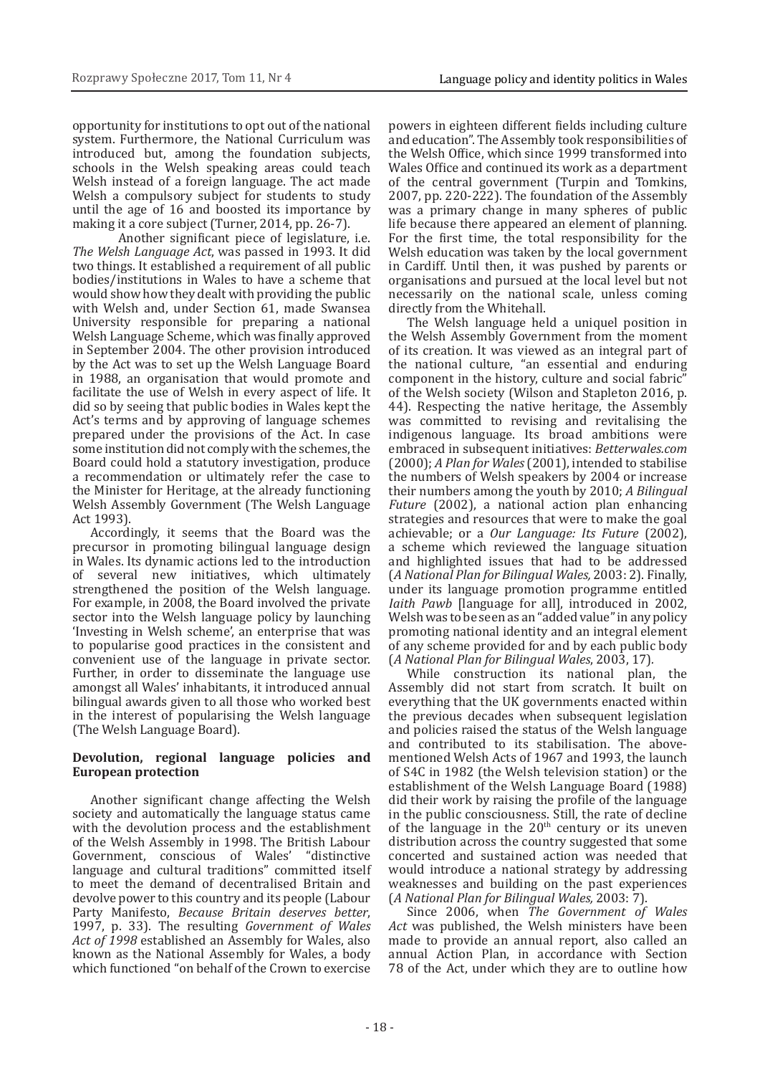opportunity for institutions to opt out of the national system. Furthermore, the National Curriculum was introduced but, among the foundation subjects, schools in the Welsh speaking areas could teach Welsh instead of a foreign language. The act made Welsh a compulsory subject for students to study until the age of 16 and boosted its importance by making it a core subject (Turner, 2014, pp. 26-7).

Another significant piece of legislature, i.e. *The Welsh Language Act*, was passed in 1993. It did two things. It established a requirement of all public bodies/institutions in Wales to have a scheme that would show how they dealt with providing the public with Welsh and, under Section 61, made Swansea University responsible for preparing a national Welsh Language Scheme, which was finally approved in September 2004. The other provision introduced by the Act was to set up the Welsh Language Board in 1988, an organisation that would promote and facilitate the use of Welsh in every aspect of life. It did so by seeing that public bodies in Wales kept the Act's terms and by approving of language schemes prepared under the provisions of the Act. In case some institution did not comply with the schemes, the Board could hold a statutory investigation, produce a recommendation or ultimately refer the case to the Minister for Heritage, at the already functioning Welsh Assembly Government (The Welsh Language Act 1993).

Accordingly, it seems that the Board was the precursor in promoting bilingual language design in Wales. Its dynamic actions led to the introduction of several new initiatives, which ultimately strengthened the position of the Welsh language. For example, in 2008, the Board involved the private sector into the Welsh language policy by launching 'Investing in Welsh scheme', an enterprise that was to popularise good practices in the consistent and convenient use of the language in private sector. Further, in order to disseminate the language use amongst all Wales' inhabitants, it introduced annual bilingual awards given to all those who worked best in the interest of popularising the Welsh language (The Welsh Language Board).

### **Devolution, regional language policies and European protection**

Another significant change affecting the Welsh society and automatically the language status came with the devolution process and the establishment of the Welsh Assembly in 1998. The British Labour<br>Government, conscious of Wales' "distinctive Government, conscious of Wales' language and cultural traditions" committed itself to meet the demand of decentralised Britain and devolve power to this country and its people (Labour Party Manifesto, *Because Britain deserves better*, 1997, p. 33). The resulting *Government of Wales Act of 1998* established an Assembly for Wales, also known as the National Assembly for Wales, a body which functioned "on behalf of the Crown to exercise

powers in eighteen different fields including culture and education". The Assembly took responsibilities of the Welsh Office, which since 1999 transformed into Wales Office and continued its work as a department of the central government (Turpin and Tomkins, 2007, pp. 220-222). The foundation of the Assembly was a primary change in many spheres of public life because there appeared an element of planning. For the first time, the total responsibility for the Welsh education was taken by the local government in Cardiff. Until then, it was pushed by parents or organisations and pursued at the local level but not necessarily on the national scale, unless coming directly from the Whitehall.

The Welsh language held a uniquel position in the Welsh Assembly Government from the moment of its creation. It was viewed as an integral part of the national culture, "an essential and enduring component in the history, culture and social fabric" of the Welsh society (Wilson and Stapleton 2016, p. 44). Respecting the native heritage, the Assembly was committed to revising and revitalising the indigenous language. Its broad ambitions were embraced in subsequent initiatives: *Betterwales.com*  (2000); *A Plan for Wales* (2001), intended to stabilise the numbers of Welsh speakers by 2004 or increase their numbers among the youth by 2010; *A Bilingual Future* (2002), a national action plan enhancing strategies and resources that were to make the goal achievable; or a *Our Language: Its Future* (2002), a scheme which reviewed the language situation and highlighted issues that had to be addressed (*A National Plan for Bilingual Wales,* 2003: 2). Finally, under its language promotion programme entitled *Iaith Pawb* [language for all], introduced in 2002, Welsh was to be seen as an "added value" in any policy promoting national identity and an integral element of any scheme provided for and by each public body (*A National Plan for Bilingual Wales*, 2003, 17)*.*

While construction its national plan, the Assembly did not start from scratch. It built on everything that the UK governments enacted within the previous decades when subsequent legislation and policies raised the status of the Welsh language and contributed to its stabilisation. The abovementioned Welsh Acts of 1967 and 1993, the launch of S4C in 1982 (the Welsh television station) or the establishment of the Welsh Language Board (1988) did their work by raising the profile of the language in the public consciousness. Still, the rate of decline of the language in the  $20<sup>th</sup>$  century or its uneven distribution across the country suggested that some concerted and sustained action was needed that would introduce a national strategy by addressing weaknesses and building on the past experiences (*A National Plan for Bilingual Wales,* 2003: 7).

Since 2006, when *The Government of Wales Act* was published, the Welsh ministers have been made to provide an annual report, also called an annual Action Plan, in accordance with Section 78 of the Act, under which they are to outline how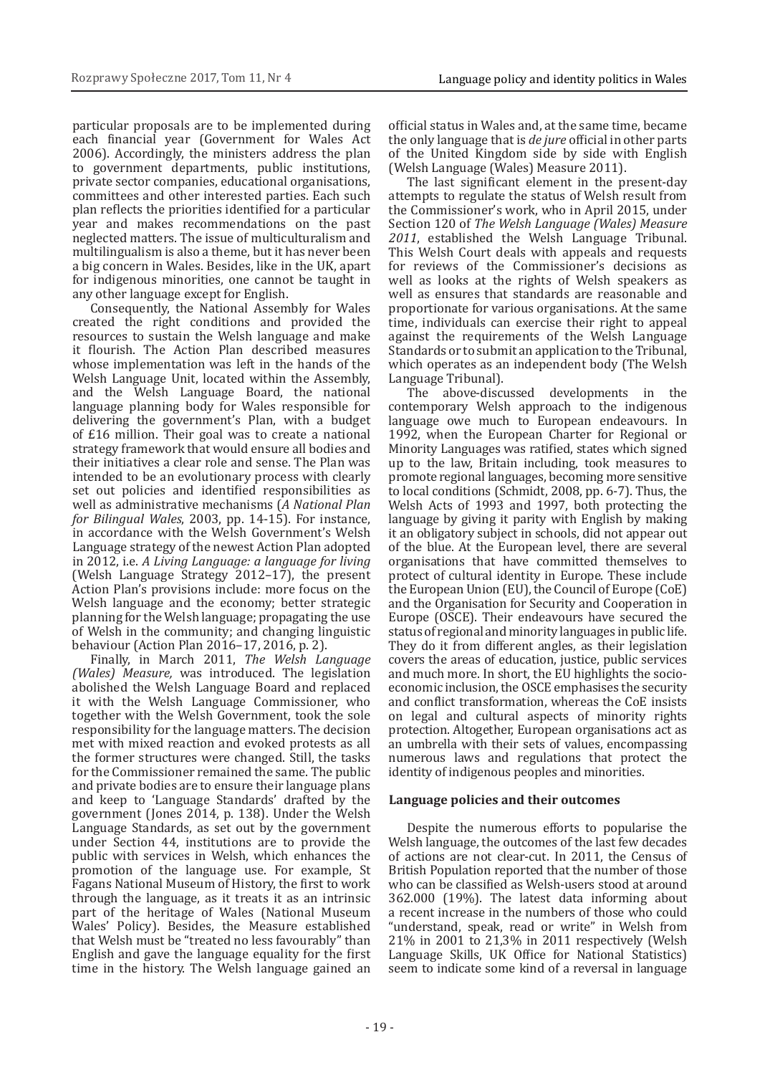particular proposals are to be implemented during each financial year (Government for Wales Act 2006). Accordingly, the ministers address the plan to government departments, public institutions, private sector companies, educational organisations, committees and other interested parties. Each such plan reflects the priorities identified for a particular year and makes recommendations on the past neglected matters. The issue of multiculturalism and multilingualism is also a theme, but it has never been a big concern in Wales. Besides, like in the UK, apart for indigenous minorities, one cannot be taught in any other language except for English.

Consequently, the National Assembly for Wales created the right conditions and provided the resources to sustain the Welsh language and make it flourish. The Action Plan described measures whose implementation was left in the hands of the Welsh Language Unit, located within the Assembly, and the Welsh Language Board, the national language planning body for Wales responsible for delivering the government's Plan, with a budget of £16 million. Their goal was to create a national strategy framework that would ensure all bodies and their initiatives a clear role and sense. The Plan was intended to be an evolutionary process with clearly set out policies and identified responsibilities as well as administrative mechanisms (*A National Plan for Bilingual Wales*, 2003, pp. 14-15). For instance, in accordance with the Welsh Government's Welsh Language strategy of the newest Action Plan adopted in 2012, i.e. *A Living Language: a language for living*  (Welsh Language Strategy 2012–17), the present Action Plan's provisions include: more focus on the Welsh language and the economy; better strategic planning for the Welsh language; propagating the use of Welsh in the community; and changing linguistic behaviour (Action Plan 2016–17, 2016, p. 2).

Finally, in March 2011, *The Welsh Language (Wales) Measure,* was introduced. The legislation abolished the Welsh Language Board and replaced it with the Welsh Language Commissioner, who together with the Welsh Government, took the sole responsibility for the language matters. The decision met with mixed reaction and evoked protests as all the former structures were changed. Still, the tasks for the Commissioner remained the same. The public and private bodies are to ensure their language plans and keep to 'Language Standards' drafted by the government (Jones 2014, p. 138). Under the Welsh Language Standards, as set out by the government under Section 44, institutions are to provide the public with services in Welsh, which enhances the promotion of the language use. For example, St Fagans National Museum of History, the first to work through the language, as it treats it as an intrinsic part of the heritage of Wales (National Museum Wales' Policy). Besides, the Measure established that Welsh must be "treated no less favourably" than English and gave the language equality for the first time in the history. The Welsh language gained an

official status in Wales and, at the same time, became the only language that is *de jure* official in other parts of the United Kingdom side by side with English (Welsh Language (Wales) Measure 2011).

The last significant element in the present-day attempts to regulate the status of Welsh result from the Commissioner's work, who in April 2015, under Section 120 of *The Welsh Language (Wales) Measure 2011*, established the Welsh Language Tribunal. This Welsh Court deals with appeals and requests for reviews of the Commissioner's decisions as well as looks at the rights of Welsh speakers as well as ensures that standards are reasonable and proportionate for various organisations. At the same time, individuals can exercise their right to appeal against the requirements of the Welsh Language Standards or to submit an application to the Tribunal, which operates as an independent body (The Welsh Language Tribunal).

The above-discussed developments in the contemporary Welsh approach to the indigenous language owe much to European endeavours. In 1992, when the European Charter for Regional or Minority Languages was ratified, states which signed up to the law, Britain including, took measures to promote regional languages, becoming more sensitive to local conditions (Schmidt, 2008, pp. 6-7). Thus, the Welsh Acts of 1993 and 1997, both protecting the language by giving it parity with English by making it an obligatory subject in schools, did not appear out of the blue. At the European level, there are several organisations that have committed themselves to protect of cultural identity in Europe. These include the European Union (EU), the Council of Europe (CoE) and the Organisation for Security and Cooperation in Europe (OSCE). Their endeavours have secured the status of regional and minority languages in public life. They do it from different angles, as their legislation covers the areas of education, justice, public services and much more. In short, the EU highlights the socioeconomic inclusion, the OSCE emphasises the security and conflict transformation, whereas the CoE insists on legal and cultural aspects of minority rights protection. Altogether, European organisations act as an umbrella with their sets of values, encompassing numerous laws and regulations that protect the identity of indigenous peoples and minorities.

### **Language policies and their outcomes**

Despite the numerous efforts to popularise the Welsh language, the outcomes of the last few decades of actions are not clear-cut. In 2011, the Census of British Population reported that the number of those who can be classified as Welsh-users stood at around 362.000 (19%). The latest data informing about a recent increase in the numbers of those who could "understand, speak, read or write" in Welsh from 21% in 2001 to 21,3% in 2011 respectively (Welsh Language Skills, UK Office for National Statistics) seem to indicate some kind of a reversal in language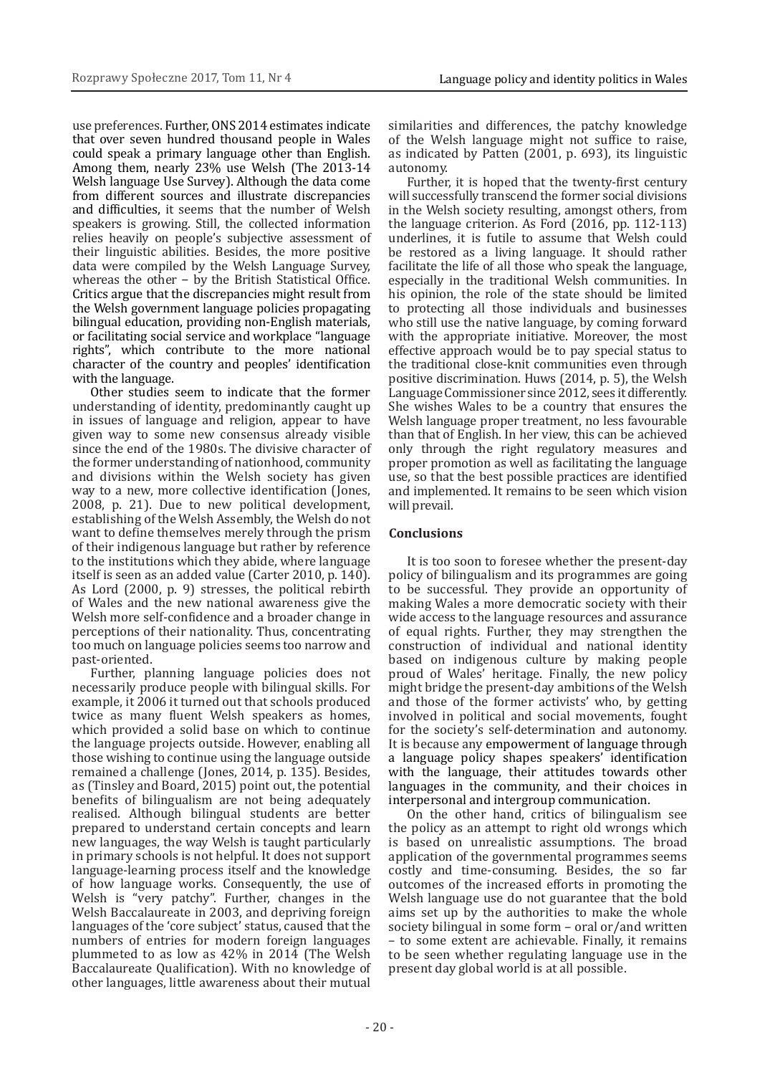use preferences. Further, ONS 2014 estimates indicate that over seven hundred thousand people in Wales could speak a primary language other than English. Among them, nearly 23% use Welsh (The 2013-14 Welsh language Use Survey). Although the data come from different sources and illustrate discrepancies and difficulties, it seems that the number of Welsh speakers is growing. Still, the collected information relies heavily on people's subjective assessment of their linguistic abilities. Besides, the more positive data were compiled by the Welsh Language Survey, whereas the other − by the British Statistical Office. Critics argue that the discrepancies might result from the Welsh government language policies propagating bilingual education, providing non-English materials, or facilitating social service and workplace "language rights", which contribute to the more national character of the country and peoples' identification with the language.

Other studies seem to indicate that the former understanding of identity, predominantly caught up in issues of language and religion, appear to have given way to some new consensus already visible since the end of the 1980s. The divisive character of the former understanding of nationhood, community and divisions within the Welsh society has given way to a new, more collective identification (Jones, 2008, p. 21). Due to new political development, establishing of the Welsh Assembly, the Welsh do not want to define themselves merely through the prism of their indigenous language but rather by reference to the institutions which they abide, where language itself is seen as an added value (Carter 2010, p. 140). As Lord (2000, p. 9) stresses, the political rebirth of Wales and the new national awareness give the Welsh more self-confidence and a broader change in perceptions of their nationality. Thus, concentrating too much on language policies seems too narrow and past-oriented.

Further, planning language policies does not necessarily produce people with bilingual skills. For example, it 2006 it turned out that schools produced twice as many fluent Welsh speakers as homes, which provided a solid base on which to continue the language projects outside. However, enabling all those wishing to continue using the language outside remained a challenge (Jones, 2014, p. 135). Besides, as (Tinsley and Board, 2015) point out, the potential benefits of bilingualism are not being adequately realised. Although bilingual students are better prepared to understand certain concepts and learn new languages, the way Welsh is taught particularly in primary schools is not helpful. It does not support language-learning process itself and the knowledge of how language works. Consequently, the use of Welsh is "very patchy". Further, changes in the Welsh Baccalaureate in 2003, and depriving foreign languages of the 'core subject' status, caused that the numbers of entries for modern foreign languages plummeted to as low as 42% in 2014 (The Welsh Baccalaureate Qualification). With no knowledge of other languages, little awareness about their mutual

similarities and differences, the patchy knowledge of the Welsh language might not suffice to raise, as indicated by Patten (2001, p. 693), its linguistic autonomy.

Further, it is hoped that the twenty-first century will successfully transcend the former social divisions in the Welsh society resulting, amongst others, from the language criterion. As Ford (2016, pp. 112-113) underlines, it is futile to assume that Welsh could be restored as a living language. It should rather facilitate the life of all those who speak the language, especially in the traditional Welsh communities. In his opinion, the role of the state should be limited to protecting all those individuals and businesses who still use the native language, by coming forward with the appropriate initiative. Moreover, the most effective approach would be to pay special status to the traditional close-knit communities even through positive discrimination. Huws (2014, p. 5), the Welsh Language Commissioner since 2012, sees it differently. She wishes Wales to be a country that ensures the Welsh language proper treatment, no less favourable than that of English. In her view, this can be achieved only through the right regulatory measures and proper promotion as well as facilitating the language use, so that the best possible practices are identified and implemented. It remains to be seen which vision will prevail.

## **Conclusions**

It is too soon to foresee whether the present-day policy of bilingualism and its programmes are going to be successful. They provide an opportunity of making Wales a more democratic society with their wide access to the language resources and assurance of equal rights. Further, they may strengthen the construction of individual and national identity based on indigenous culture by making people proud of Wales' heritage. Finally, the new policy might bridge the present-day ambitions of the Welsh and those of the former activists' who, by getting involved in political and social movements, fought for the society's self-determination and autonomy. It is because any empowerment of language through a language policy shapes speakers' identification with the language, their attitudes towards other languages in the community, and their choices in interpersonal and intergroup communication.

On the other hand, critics of bilingualism see the policy as an attempt to right old wrongs which is based on unrealistic assumptions. The broad application of the governmental programmes seems costly and time-consuming. Besides, the so far outcomes of the increased efforts in promoting the Welsh language use do not guarantee that the bold aims set up by the authorities to make the whole society bilingual in some form – oral or/and written – to some extent are achievable. Finally, it remains to be seen whether regulating language use in the present day global world is at all possible.